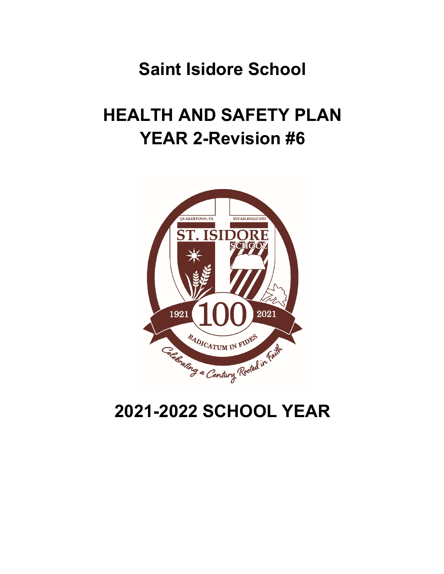## **Saint Isidore School**

# **HEALTH AND SAFETY PLAN YEAR 2-Revision #6**



## **2021-2022 SCHOOL YEAR**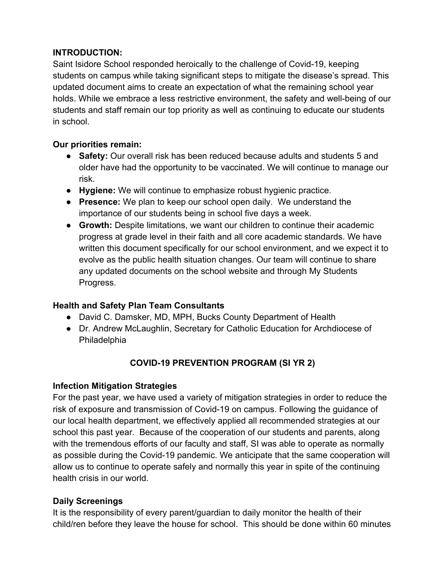### **INTRODUCTION:**

Saint Isidore School responded heroically to the challenge of Covid-19, keeping students on campus while taking significant steps to mitigate the disease's spread. This updated document aims to create an expectation of what the remaining school year holds. While we embrace a less restrictive environment, the safety and well-being of our students and staff remain our top priority as well as continuing to educate our students in school.

## **Our priorities remain:**

- **Safety:** Our overall risk has been reduced because adults and students 5 and older have had the opportunity to be vaccinated. We will continue to manage our risk.
- **Hygiene:** We will continue to emphasize robust hygienic practice.
- **Presence:** We plan to keep our school open daily. We understand the importance of our students being in school five days a week.
- **Growth:** Despite limitations, we want our children to continue their academic progress at grade level in their faith and all core academic standards. We have written this document specifically for our school environment, and we expect it to evolve as the public health situation changes. Our team will continue to share any updated documents on the school website and through My Students Progress.

## **Health and Safety Plan Team Consultants**

- David C. Damsker, MD, MPH, Bucks County Department of Health
- Dr. Andrew McLaughlin, Secretary for Catholic Education for Archdiocese of **Philadelphia**

## **COVID-19 PREVENTION PROGRAM (SI YR 2)**

## **Infection Mitigation Strategies**

For the past year, we have used a variety of mitigation strategies in order to reduce the risk of exposure and transmission of Covid-19 on campus. Following the guidance of our local health department, we effectively applied all recommended strategies at our school this past year. Because of the cooperation of our students and parents, along with the tremendous efforts of our faculty and staff, SI was able to operate as normally as possible during the Covid-19 pandemic. We anticipate that the same cooperation will allow us to continue to operate safely and normally this year in spite of the continuing health crisis in our world.

## **Daily Screenings**

It is the responsibility of every parent/guardian to daily monitor the health of their child/ren before they leave the house for school. This should be done within 60 minutes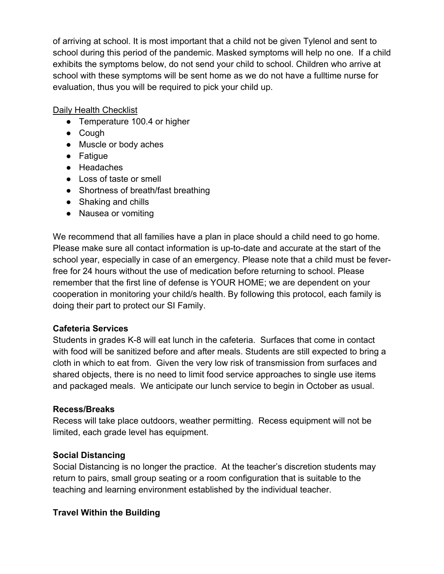of arriving at school. It is most important that a child not be given Tylenol and sent to school during this period of the pandemic. Masked symptoms will help no one. If a child exhibits the symptoms below, do not send your child to school. Children who arrive at school with these symptoms will be sent home as we do not have a fulltime nurse for evaluation, thus you will be required to pick your child up.

#### Daily Health Checklist

- Temperature 100.4 or higher
- Cough
- Muscle or body aches
- Fatigue
- Headaches
- Loss of taste or smell
- Shortness of breath/fast breathing
- Shaking and chills
- Nausea or vomiting

We recommend that all families have a plan in place should a child need to go home. Please make sure all contact information is up-to-date and accurate at the start of the school year, especially in case of an emergency. Please note that a child must be feverfree for 24 hours without the use of medication before returning to school. Please remember that the first line of defense is YOUR HOME; we are dependent on your cooperation in monitoring your child/s health. By following this protocol, each family is doing their part to protect our SI Family.

#### **Cafeteria Services**

Students in grades K-8 will eat lunch in the cafeteria. Surfaces that come in contact with food will be sanitized before and after meals. Students are still expected to bring a cloth in which to eat from. Given the very low risk of transmission from surfaces and shared objects, there is no need to limit food service approaches to single use items and packaged meals. We anticipate our lunch service to begin in October as usual.

#### **Recess/Breaks**

Recess will take place outdoors, weather permitting. Recess equipment will not be limited, each grade level has equipment.

#### **Social Distancing**

Social Distancing is no longer the practice. At the teacher's discretion students may return to pairs, small group seating or a room configuration that is suitable to the teaching and learning environment established by the individual teacher.

#### **Travel Within the Building**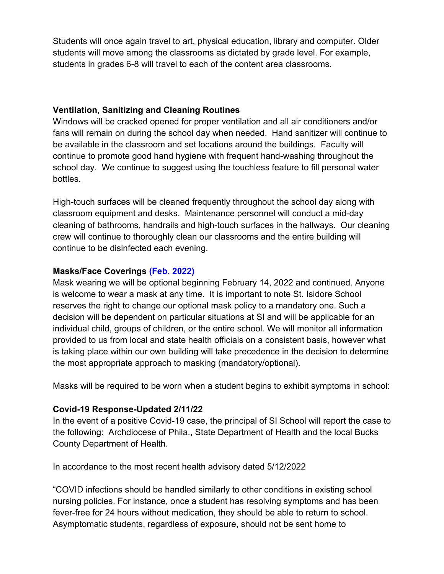Students will once again travel to art, physical education, library and computer. Older students will move among the classrooms as dictated by grade level. For example, students in grades 6-8 will travel to each of the content area classrooms.

#### **Ventilation, Sanitizing and Cleaning Routines**

Windows will be cracked opened for proper ventilation and all air conditioners and/or fans will remain on during the school day when needed. Hand sanitizer will continue to be available in the classroom and set locations around the buildings. Faculty will continue to promote good hand hygiene with frequent hand-washing throughout the school day. We continue to suggest using the touchless feature to fill personal water bottles.

High-touch surfaces will be cleaned frequently throughout the school day along with classroom equipment and desks. Maintenance personnel will conduct a mid-day cleaning of bathrooms, handrails and high-touch surfaces in the hallways. Our cleaning crew will continue to thoroughly clean our classrooms and the entire building will continue to be disinfected each evening.

#### **Masks/Face Coverings (Feb. 2022)**

Mask wearing we will be optional beginning February 14, 2022 and continued. Anyone is welcome to wear a mask at any time. It is important to note St. Isidore School reserves the right to change our optional mask policy to a mandatory one. Such a decision will be dependent on particular situations at SI and will be applicable for an individual child, groups of children, or the entire school. We will monitor all information provided to us from local and state health officials on a consistent basis, however what is taking place within our own building will take precedence in the decision to determine the most appropriate approach to masking (mandatory/optional).

Masks will be required to be worn when a student begins to exhibit symptoms in school:

#### **Covid-19 Response-Updated 2/11/22**

In the event of a positive Covid-19 case, the principal of SI School will report the case to the following: Archdiocese of Phila., State Department of Health and the local Bucks County Department of Health.

In accordance to the most recent health advisory dated 5/12/2022

"COVID infections should be handled similarly to other conditions in existing school nursing policies. For instance, once a student has resolving symptoms and has been fever-free for 24 hours without medication, they should be able to return to school. Asymptomatic students, regardless of exposure, should not be sent home to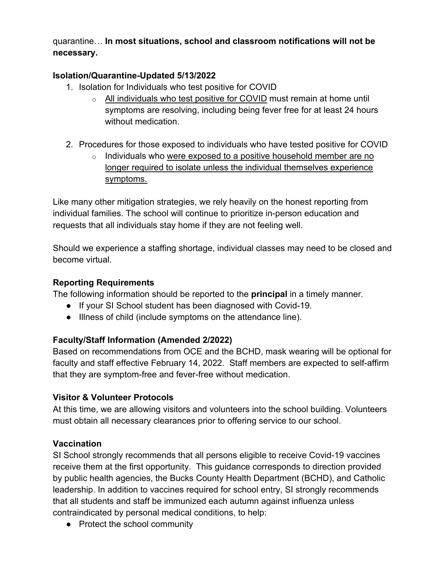## quarantine… **In most situations, school and classroom notifications will not be necessary.**

## **Isolation/Quarantine-Updated 5/13/2022**

- 1. Isolation for Individuals who test positive for COVID
	- o All individuals who test positive for COVID must remain at home until symptoms are resolving, including being fever free for at least 24 hours without medication.
- 2. Procedures for those exposed to individuals who have tested positive for COVID
	- o Individuals who were exposed to a positive household member are no longer required to isolate unless the individual themselves experience symptoms.

Like many other mitigation strategies, we rely heavily on the honest reporting from individual families. The school will continue to prioritize in-person education and requests that all individuals stay home if they are not feeling well.

Should we experience a staffing shortage, individual classes may need to be closed and become virtual.

## **Reporting Requirements**

The following information should be reported to the **principal** in a timely manner.

- If your SI School student has been diagnosed with Covid-19.
- Illness of child (include symptoms on the attendance line).

## **Faculty/Staff Information (Amended 2/2022)**

Based on recommendations from OCE and the BCHD, mask wearing will be optional for faculty and staff effective February 14, 2022. Staff members are expected to self-affirm that they are symptom-free and fever-free without medication.

#### **Visitor & Volunteer Protocols**

At this time, we are allowing visitors and volunteers into the school building. Volunteers must obtain all necessary clearances prior to offering service to our school.

#### **Vaccination**

SI School strongly recommends that all persons eligible to receive Covid-19 vaccines receive them at the first opportunity. This guidance corresponds to direction provided by public health agencies, the Bucks County Health Department (BCHD), and Catholic leadership. In addition to vaccines required for school entry, SI strongly recommends that all students and staff be immunized each autumn against influenza unless contraindicated by personal medical conditions, to help:

• Protect the school community